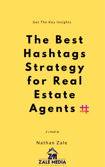Get The Key Insights

# **T h e B e s t H a s h t a g s S t r a t e g y f o r R e a l**

# **E s t a t e A g e n t s**

*A e book by*

## Nathan Zale

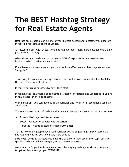## **The BEST Hashtag Strategy for Real Estate Agents**

Hashtags on Instagram can be one of your biggest successors to getting you exposure if you're a real estate agent or lender.

An Instagram post with at least one hashtag averages [12.6% more engagement](https://later.com/blog/ultimate-guide-to-using-instagram-hashtags/) than a post with no hashtags.

When done right, hashtags can get you a TON of exposure for your real estate business. Which is what we want, right?

If you have a business account, you can see how effective your hashtags are on your "insights."

This is why I recommend having a business account so you can monitor feedback like this, if you are in real estate.

If you're **not** using hashtags by now, then start.

If you have no idea what a good hashtag strategy for realtors and lenders is, if you're in real estate, then keep reading!

With Instagram, you can have up to 30 hashtags and honestly, I recommend using all 30 of them!

There are three pillars of hashtags that you can be using for your real estate business.

- Broad Hashtags used **1m + times**
- Local Hashtags used **with your location**
- Targeted Hashtags used less than **500k times**

To find how many people have used hashtags you're suggesting, simply search the hashtag and it'll tell you how many have used it.

*Side note*, by using hashtags you have the chance to show up on the "top" posts for specific hashtags. Which can get you some great exposure.

Okay, now let's get into how you can start leveraging hashtags to show up to your target audience and get you EXPOSURE.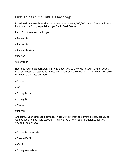## First things first, BROAD hashtags.

Broad hashtags are those that have been used over 1,000,000 times. There will be a lot to choose from, especially if you're in Real Estate.

Pick 10 of these and call it good.

#Realestate

#Realtorlife

#Realestateagent

#Realtor

#Motivation

Next up, your local hashtags. This will allow you to show up in your farm or target market. These are essential to include so you CAN show up in front of your farm area for your real estate business.

#Chicago

#312

#Chicagohomes

#Chicagolife

#Windycity

#dabears

And lastly, your targeted hashtags. These will be great to combine local, broad, as well as specific hashtags together. This will be a very specific audience for you if you're in real estate.

#Chicagohomeforsale

#Forsale60622

#60622

#Chicagorealestate